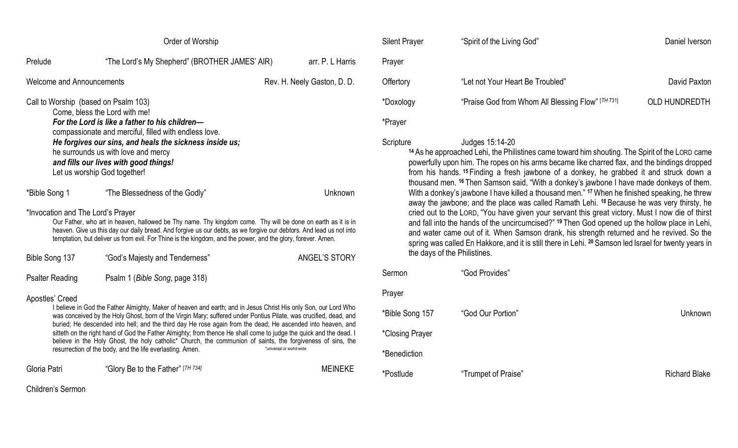| Order of Worship                                                                                                                                                                                                                                                                                                                                                                                                                                                                                                                                                                                                                                                                                     |                                               |                             |  |  |
|------------------------------------------------------------------------------------------------------------------------------------------------------------------------------------------------------------------------------------------------------------------------------------------------------------------------------------------------------------------------------------------------------------------------------------------------------------------------------------------------------------------------------------------------------------------------------------------------------------------------------------------------------------------------------------------------------|-----------------------------------------------|-----------------------------|--|--|
| Prelude                                                                                                                                                                                                                                                                                                                                                                                                                                                                                                                                                                                                                                                                                              | "The Lord's My Shepherd" (BROTHER JAMES' AIR) | arr. P. L Harris            |  |  |
| <b>Welcome and Announcements</b>                                                                                                                                                                                                                                                                                                                                                                                                                                                                                                                                                                                                                                                                     |                                               | Rev. H. Neely Gaston, D. D. |  |  |
| Call to Worship (based on Psalm 103)<br>Come, bless the Lord with me!<br>For the Lord is like a father to his children-<br>compassionate and merciful, filled with endless love.<br>He forgives our sins, and heals the sickness inside us;<br>he surrounds us with love and mercy<br>and fills our lives with good things!<br>Let us worship God together!                                                                                                                                                                                                                                                                                                                                          |                                               |                             |  |  |
| *Bible Song 1                                                                                                                                                                                                                                                                                                                                                                                                                                                                                                                                                                                                                                                                                        | "The Blessedness of the Godly"                | Unknown                     |  |  |
| *Invocation and The Lord's Prayer<br>Our Father, who art in heaven, hallowed be Thy name. Thy kingdom come. Thy will be done on earth as it is in<br>heaven. Give us this day our daily bread. And forgive us our debts, as we forgive our debtors. And lead us not into<br>temptation, but deliver us from evil. For Thine is the kingdom, and the power, and the glory, forever. Amen.                                                                                                                                                                                                                                                                                                             |                                               |                             |  |  |
| Bible Song 137                                                                                                                                                                                                                                                                                                                                                                                                                                                                                                                                                                                                                                                                                       | "God's Majesty and Tenderness"                | ANGEL'S STORY               |  |  |
| <b>Psalter Reading</b>                                                                                                                                                                                                                                                                                                                                                                                                                                                                                                                                                                                                                                                                               | Psalm 1 (Bible Song, page 318)                |                             |  |  |
| Apostles' Creed<br>I believe in God the Father Almighty, Maker of heaven and earth; and in Jesus Christ His only Son, our Lord Who<br>was conceived by the Holy Ghost, born of the Virgin Mary; suffered under Pontius Pilate, was crucified, dead, and<br>buried; He descended into hell; and the third day He rose again from the dead; He ascended into heaven, and<br>sitteth on the right hand of God the Father Almighty; from thence He shall come to judge the quick and the dead. I<br>believe in the Holy Ghost, the holy catholic* Church, the communion of saints, the forgiveness of sins, the<br>*universal or world-wide<br>resurrection of the body, and the life everlasting. Amen. |                                               |                             |  |  |
| Gloria Patri                                                                                                                                                                                                                                                                                                                                                                                                                                                                                                                                                                                                                                                                                         | "Glory Be to the Father" [TH 734]             | <b>MEINEKE</b>              |  |  |
| Children's Sermon                                                                                                                                                                                                                                                                                                                                                                                                                                                                                                                                                                                                                                                                                    |                                               |                             |  |  |

| <b>Silent Prayer</b> | "Spirit of the Living God"                        | Daniel Iverson       |
|----------------------|---------------------------------------------------|----------------------|
| Prayer               |                                                   |                      |
| Offertory            | "Let not Your Heart Be Troubled"                  | David Paxton         |
| *Doxology            | "Praise God from Whom All Blessing Flow" [TH 731] | <b>OLD HUNDREDTH</b> |
| *Prayer              |                                                   |                      |

#### Scripture Judges 15:14-20

**<sup>14</sup>** As he approached Lehi, the Philistines came toward him shouting. The Spirit of the LORD came powerfully upon him. The ropes on his arms became like charred flax, and the bindings dropped from his hands. **<sup>15</sup>** Finding a fresh jawbone of a donkey, he grabbed it and struck down a thousand men. **<sup>16</sup>** Then Samson said, "With a donkey's jawbone I have made donkeys of them. With a donkey's jawbone I have killed a thousand men." **<sup>17</sup>** When he finished speaking, he threw away the jawbone; and the place was called Ramath Lehi. **<sup>18</sup>** Because he was very thirsty, he cried out to the LORD, "You have given your servant this great victory. Must I now die of thirst and fall into the hands of the uncircumcised?" **<sup>19</sup>** Then God opened up the hollow place in Lehi, and water came out of it. When Samson drank, his strength returned and he revived. So the spring was called En Hakkore, and it is still there in Lehi. **<sup>20</sup>** Samson led Israel for twenty years in the days of the Philistines.

| Sermon          | "God Provides"      |                      |
|-----------------|---------------------|----------------------|
| Prayer          |                     |                      |
| *Bible Song 157 | "God Our Portion"   | Unknown              |
| *Closing Prayer |                     |                      |
| *Benediction    |                     |                      |
| *Postlude       | "Trumpet of Praise" | <b>Richard Blake</b> |